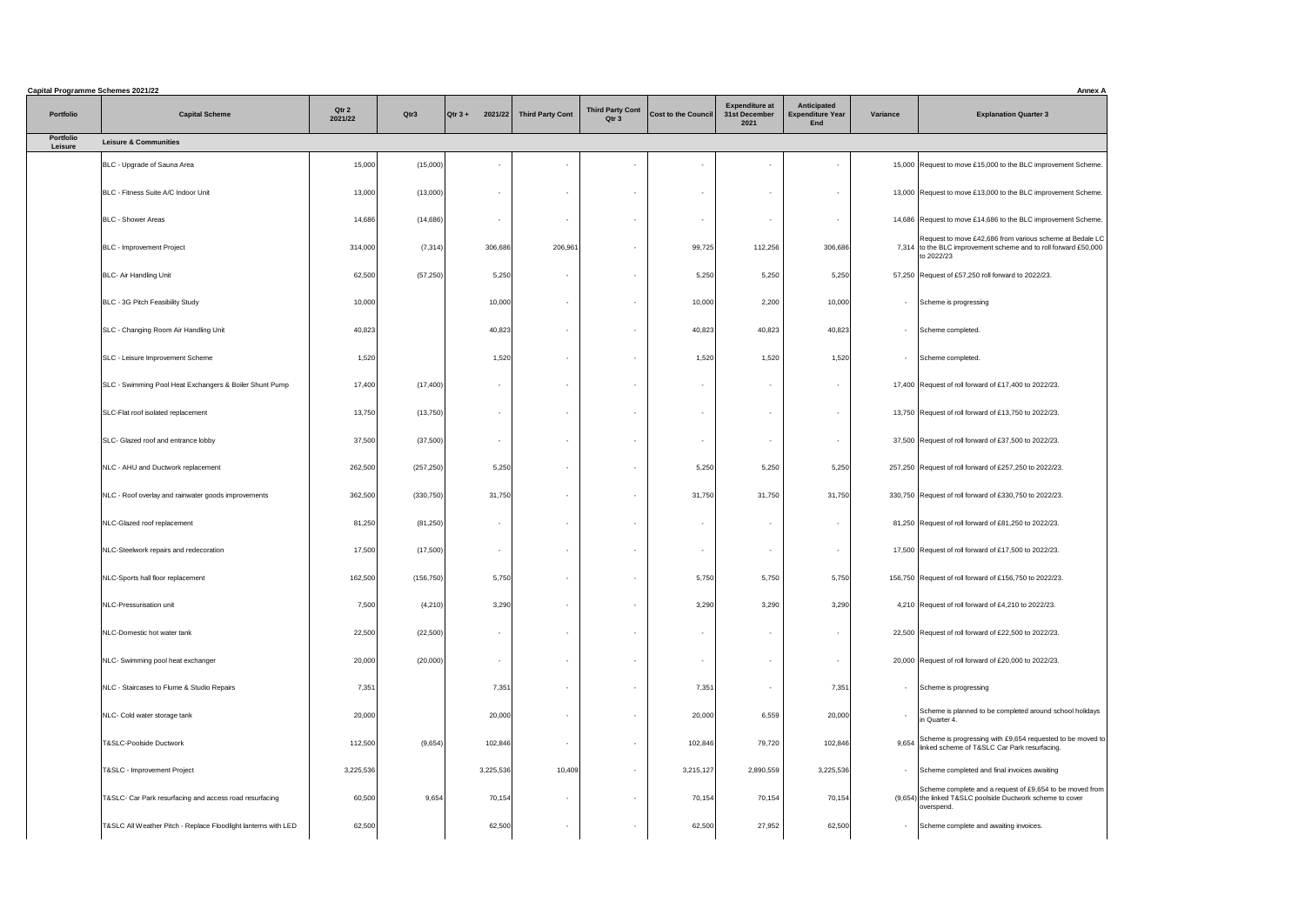|                             | <b>Capital Programme Schemes 2021/22</b>                       |                  |            |                   |                            |                                  |                          |                                                |                                                             |            | <b>Annex A</b>                                                                                                                            |
|-----------------------------|----------------------------------------------------------------|------------------|------------|-------------------|----------------------------|----------------------------------|--------------------------|------------------------------------------------|-------------------------------------------------------------|------------|-------------------------------------------------------------------------------------------------------------------------------------------|
| Portfolio                   | <b>Capital Scheme</b>                                          | Qtr 2<br>2021/22 | Qtr3       | $\sqrt{Q}$ tr 3 + | 2021/22   Third Party Cont | <b>Third Party Cont</b><br>Qtr 3 | Cost to the Council      | <b>Expenditure at</b><br>31st December<br>2021 | <b>Anticipated</b><br><b>Expenditure Year</b><br><b>End</b> | Variance   | <b>Explanation Quarter 3</b>                                                                                                              |
| <b>Portfolio</b><br>Leisure | <b>Leisure &amp; Communities</b>                               |                  |            |                   |                            |                                  |                          |                                                |                                                             |            |                                                                                                                                           |
|                             | BLC - Upgrade of Sauna Area                                    | 15,000           | (15,000)   |                   |                            | $\overline{\phantom{a}}$         | $\sim$                   |                                                | $\overline{\phantom{a}}$                                    |            | 15,000 Request to move £15,000 to the BLC improvement Scheme.                                                                             |
|                             | BLC - Fitness Suite A/C Indoor Unit                            | 13,000           | (13,000)   |                   | $\sim$                     | $\overline{\phantom{a}}$         | $\sim$                   |                                                | $\sim$                                                      |            | 13,000 Request to move £13,000 to the BLC improvement Scheme.                                                                             |
|                             | <b>BLC - Shower Areas</b>                                      | 14,686           | (14,686)   | $\sim$            |                            | $\sim$                           | $\sim$                   |                                                | $\overline{\phantom{0}}$                                    |            | 14,686 Request to move £14,686 to the BLC improvement Scheme.                                                                             |
|                             | <b>BLC</b> - Improvement Project                               | 314,000          | (7,314)    | 306,686           | 206,961                    | $\sim$                           | 99,725                   | 112,256                                        | 306,686                                                     |            | Request to move £42,686 from various scheme at Bedale LC<br>7,314 to the BLC improvement scheme and to roll forward £50,000<br>to 2022/23 |
|                             | <b>BLC- Air Handling Unit</b>                                  | 62,500           | (57, 250)  | 5,250             | $\sim$                     | $\sim$                           | 5,250                    | 5,250                                          | 5,250                                                       |            | 57,250 Request of £57,250 roll forward to 2022/23.                                                                                        |
|                             | <b>BLC - 3G Pitch Feasibility Study</b>                        | 10,000           |            | 10,000            | $\sim$                     | $\sim$                           | 10,000                   | 2,200                                          | 10,000                                                      |            | - Scheme is progressing                                                                                                                   |
|                             | SLC - Changing Room Air Handling Unit                          | 40,823           |            | 40,823            | $\sim$                     | $\sim$                           | 40,823                   | 40,823                                         | 40,823                                                      |            | - Scheme completed.                                                                                                                       |
|                             | SLC - Leisure Improvement Scheme                               | 1,520            |            | 1,520             | $\sim$                     | $\sim$                           | 1,520                    | 1,520                                          | 1,520                                                       | $\sim$ $-$ | Scheme completed.                                                                                                                         |
|                             | SLC - Swimming Pool Heat Exchangers & Boiler Shunt Pump        | 17,400           | (17, 400)  | $\sim$            | $\sim$                     | $\sim$                           | $\sim$                   |                                                | $\sim$                                                      |            | 17,400 Request of roll forward of £17,400 to 2022/23.                                                                                     |
|                             | SLC-Flat roof isolated replacement                             | 13,750           | (13,750)   |                   | $\sim$                     | $\sim$                           | $\sim$                   |                                                | $\sim$                                                      |            | 13,750 Request of roll forward of £13,750 to 2022/23.                                                                                     |
|                             | SLC- Glazed roof and entrance lobby                            | 37,500           | (37,500)   | $\sim$            | $\sim$                     | $\sim$                           | $\sim$                   |                                                | $\sim$                                                      |            | 37,500 Request of roll forward of £37,500 to 2022/23.                                                                                     |
|                             | NLC - AHU and Ductwork replacement                             | 262,500          | (257, 250) | 5,250             | $\sim$                     | $\sim$                           | 5,250                    | 5,250                                          | 5,250                                                       |            | 257,250 Request of roll forward of £257,250 to 2022/23.                                                                                   |
|                             | NLC - Roof overlay and rainwater goods improvements            | 362,500          | (330, 750) | 31,750            | $\sim$                     | $\sim$                           | 31,750                   | 31,750                                         | 31,750                                                      |            | 330,750 Request of roll forward of £330,750 to 2022/23.                                                                                   |
|                             | NLC-Glazed roof replacement                                    | 81,250           | (81,250)   | $\sim$            | $\sim$                     | $\sim$                           | $\sim$                   |                                                | $\overline{\phantom{a}}$                                    |            | 81,250 Request of roll forward of £81,250 to 2022/23.                                                                                     |
|                             | NLC-Steelwork repairs and redecoration                         | 17,500           | (17,500)   |                   | $\sim$                     | $\sim$                           | $\sim$                   |                                                | $\overline{\phantom{a}}$                                    |            | 17,500 Request of roll forward of £17,500 to 2022/23.                                                                                     |
|                             | NLC-Sports hall floor replacement                              | 162,500          | (156, 750) | 5,750             | $\sim$                     | $\sim$                           | 5,750                    | 5,750                                          | 5,750                                                       |            | 156,750 Request of roll forward of £156,750 to 2022/23.                                                                                   |
|                             | NLC-Pressurisation unit                                        | 7,500            | (4,210)    | 3,290             | $\sim$                     | $\sim$                           | 3,290                    | 3,290                                          | 3,290                                                       |            | 4,210 Request of roll forward of £4,210 to 2022/23.                                                                                       |
|                             | NLC-Domestic hot water tank                                    | 22,500           | (22,500)   | $\sim$            | $\sim$                     | $\sim$                           | $\sim$                   |                                                |                                                             |            | 22,500 Request of roll forward of £22,500 to 2022/23.                                                                                     |
|                             | NLC- Swimming pool heat exchanger                              | 20,000           | (20,000)   | $\sim$            | $\sim$                     | $\sim$                           | $\overline{\phantom{0}}$ |                                                | $\overline{\phantom{0}}$                                    |            | 20,000 Request of roll forward of £20,000 to 2022/23.                                                                                     |
|                             | NLC - Staircases to Flume & Studio Repairs                     | 7,351            |            | 7,351             | $\sim$                     | $\sim$                           | 7,351                    |                                                | 7,351                                                       |            | - Scheme is progressing                                                                                                                   |
|                             | NLC- Cold water storage tank                                   | 20,000           |            | 20,000            | $\sim$                     | $\sim$                           | 20,000                   | 6,559                                          | 20,000                                                      |            | Scheme is planned to be completed around school holidays<br>in Quarter 4                                                                  |
|                             | T&SLC-Poolside Ductwork                                        | 112,500          | (9,654)    | 102,846           | $\sim$                     | $\sim$                           | 102,846                  | 79,720                                         | 102,846                                                     |            | 9,654 Scheme is progressing with £9,654 requested to be moved to<br>linked scheme of T&SLC Car Park resurfacing.                          |
|                             | T&SLC - Improvement Project                                    | 3,225,536        |            | 3,225,536         | 10,409                     | $\sim$                           | 3,215,127                | 2,890,559                                      | 3,225,536                                                   |            | - Scheme completed and final invoices awaiting                                                                                            |
|                             | T&SLC- Car Park resurfacing and access road resurfacing        | 60,500           | 9,654      | 70,154            | $\sim$                     | $\sim$                           | 70,154                   | 70,154                                         | 70,154                                                      |            | Scheme complete and a request of £9,654 to be moved from<br>(9,654) the linked T&SLC poolside Ductwork scheme to cover<br>overspend.      |
|                             | T&SLC All Weather Pitch - Replace Floodlight lanterns with LED | 62,500           |            | 62,500            | $\sim$                     | $\sim$                           | 62,500                   | 27,952                                         | 62,500                                                      |            | - Scheme complete and awaiting invoices.                                                                                                  |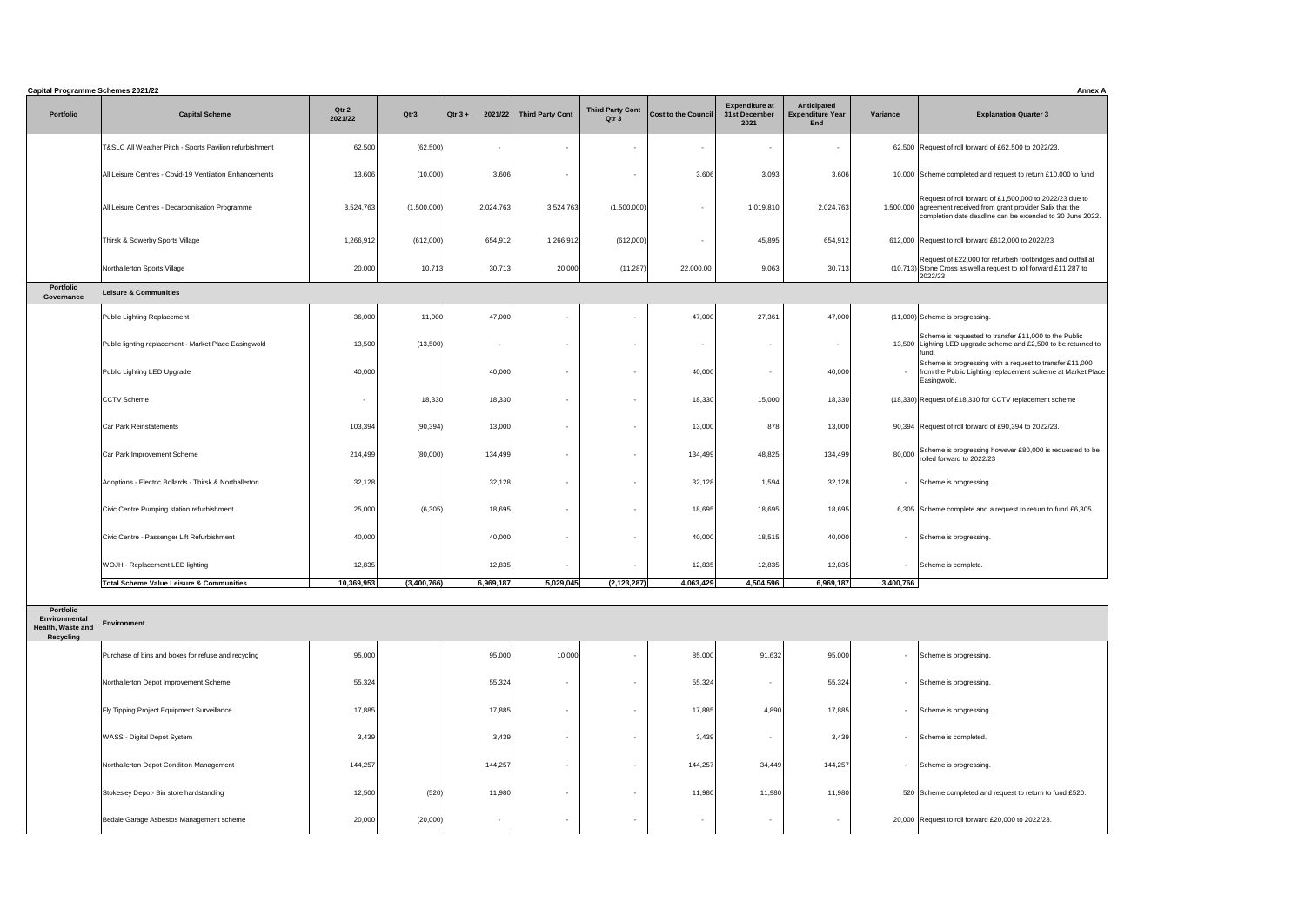|                                | <b>Capital Programme Schemes 2021/22</b>                |                  |             |                          |                         |                                             |                            |                                                |                                                      |                  | <b>Annex A</b>                                                                                                                                                                          |
|--------------------------------|---------------------------------------------------------|------------------|-------------|--------------------------|-------------------------|---------------------------------------------|----------------------------|------------------------------------------------|------------------------------------------------------|------------------|-----------------------------------------------------------------------------------------------------------------------------------------------------------------------------------------|
| <b>Portfolio</b>               | <b>Capital Scheme</b>                                   | Qtr 2<br>2021/22 | Qtr3        | 2021/22<br>$Qtr 3 +$     | <b>Third Party Cont</b> | <b>Third Party Cont</b><br>Qtr <sub>3</sub> | <b>Cost to the Council</b> | <b>Expenditure at</b><br>31st December<br>2021 | <b>Anticipated</b><br><b>Expenditure Year</b><br>End | Variance         | <b>Explanation Quarter 3</b>                                                                                                                                                            |
|                                | T&SLC All Weather Pitch - Sports Pavilion refurbishment | 62,500           | (62, 500)   | $\overline{\phantom{a}}$ | $\sim$                  |                                             | $\overline{\phantom{a}}$   | $\sim$                                         |                                                      |                  | 62,500 Request of roll forward of £62,500 to 2022/23.                                                                                                                                   |
|                                | All Leisure Centres - Covid-19 Ventilation Enhancements | 13,606           | (10,000)    | 3,606                    |                         |                                             | 3,606                      | 3,093                                          | 3,606                                                |                  | 10,000 Scheme completed and request to return £10,000 to fund                                                                                                                           |
|                                | All Leisure Centres - Decarbonisation Programme         | 3,524,763        | (1,500,000) | 2,024,763                | 3,524,763               | (1,500,000)                                 | $\sim$                     | 1,019,810                                      | 2,024,763                                            |                  | Request of roll forward of £1,500,000 to 2022/23 due to<br>1,500,000 agreement received from grant provider Salix that the<br>completion date deadline can be extended to 30 June 2022. |
|                                | Thirsk & Sowerby Sports Village                         | 1,266,912        | (612,000)   | 654,912                  | 1,266,912               | (612,000)                                   |                            | 45,895                                         | 654,912                                              |                  | 612,000 Request to roll forward £612,000 to 2022/23                                                                                                                                     |
|                                | Northallerton Sports Village                            | 20,000           | 10,713      | 30,713                   | 20,000                  | (11, 287)                                   | 22,000.00                  | 9,063                                          | 30,713                                               |                  | Request of £22,000 for refurbish footbridges and outfall at<br>$(10,713)$ Stone Cross as well a request to roll forward £11,287 to<br>2022/23                                           |
| <b>Portfolio</b><br>Governance | <b>Leisure &amp; Communities</b>                        |                  |             |                          |                         |                                             |                            |                                                |                                                      |                  |                                                                                                                                                                                         |
|                                | Public Lighting Replacement                             | 36,000           | 11,000      | 47,000                   |                         |                                             | 47,000                     | 27,361                                         | 47,000                                               |                  | $(11,000)$ Scheme is progressing.                                                                                                                                                       |
|                                | Public lighting replacement - Market Place Easingwold   | 13,500           | (13,500)    | $\sim$                   | $\sim$                  |                                             | $\overline{\phantom{a}}$   | $\overline{\phantom{a}}$                       | $\sim$                                               |                  | Scheme is requested to transfer £11,000 to the Public<br>13,500 Lighting LED upgrade scheme and £2,500 to be returned to<br>lfund                                                       |
|                                | Public Lighting LED Upgrade                             | 40,000           |             | 40,000                   | $\sim$                  |                                             | 40,000                     | $\sim$                                         | 40,000                                               |                  | Scheme is progressing with a request to transfer £11,000<br>from the Public Lighting replacement scheme at Market Place<br>Easingwold.                                                  |
|                                | <b>CCTV Scheme</b>                                      |                  | 18,330      | 18,330                   | $\sim$                  |                                             | 18,330                     | 15,000                                         | 18,330                                               |                  | (18,330) Request of £18,330 for CCTV replacement scheme                                                                                                                                 |
|                                | <b>Car Park Reinstatements</b>                          | 103,394          | (90, 394)   | 13,000                   | $\sim$                  |                                             | 13,000                     | 878                                            | 13,000                                               |                  | 90,394 Request of roll forward of £90,394 to 2022/23.                                                                                                                                   |
|                                | Car Park Improvement Scheme                             | 214,499          | (80,000)    | 134,499                  |                         |                                             | 134,499                    | 48,825                                         | 134,499                                              |                  | 80,000 Scheme is progressing however £80,000 is requested to be rolled forward to 2022/23                                                                                               |
|                                | Adoptions - Electric Bollards - Thirsk & Northallerton  | 32,128           |             | 32,128                   | $\sim$                  |                                             | 32,128                     | 1,594                                          | 32,128                                               |                  | - Scheme is progressing.                                                                                                                                                                |
|                                | Civic Centre Pumping station refurbishment              | 25,000           | (6,305)     | 18,695                   | $\sim$                  |                                             | 18,695                     | 18,695                                         | 18,695                                               |                  | 6,305 Scheme complete and a request to return to fund £6,305                                                                                                                            |
|                                | Civic Centre - Passenger Lift Refurbishment             | 40,000           |             | 40,000                   |                         |                                             | 40,000                     | 18,515                                         | 40,000                                               |                  | Scheme is progressing.                                                                                                                                                                  |
|                                | WOJH - Replacement LED lighting                         | 12,835           |             | 12,835                   | $\sim$                  |                                             | 12,835                     | 12,835                                         | 12,835                                               | $\sim$ 100 $\mu$ | Scheme is complete.                                                                                                                                                                     |
|                                | <b>Total Scheme Value Leisure &amp; Communities</b>     | 10,369,953       | (3,400,766) | 6,969,187                | 5,029,045               | (2, 123, 287)                               | 4,063,429                  | 4,504,596                                      | 6,969,187                                            | 3,400,766        |                                                                                                                                                                                         |

**Portfolio Environmental** 

**Health, Waste and Environment Recycling**

| Purchase of bins and boxes for refuse and recycling | 95,000  |          | 95,000  | 10,000                   | $\sim$ | 85,000  | 91,632 | 95,000  | Scheme is progressing.<br>$\sim$                         |
|-----------------------------------------------------|---------|----------|---------|--------------------------|--------|---------|--------|---------|----------------------------------------------------------|
| Northallerton Depot Improvement Scheme              | 55,324  |          | 55,324  | $\overline{\phantom{0}}$ |        | 55,324  |        | 55,324  | Scheme is progressing.                                   |
| <b>Fly Tipping Project Equipment Surveillance</b>   | 17,885  |          | 17,885  | $\overline{\phantom{0}}$ | $\sim$ | 17,885  | 4,890  | 17,885  | Scheme is progressing.<br>$\sim$                         |
| <b>WASS</b> - Digital Depot System                  | 3,439   |          | 3,439   | $\overline{\phantom{0}}$ | $\sim$ | 3,439   |        | 3,439   | Scheme is completed.                                     |
| Northallerton Depot Condition Management            | 144,257 |          | 144,257 | $\overline{\phantom{0}}$ | $\sim$ | 144,257 | 34,449 | 144,257 | Scheme is progressing.                                   |
| Stokesley Depot- Bin store hardstanding             | 12,500  | (520)    | 11,980  | $\overline{\phantom{0}}$ | $\sim$ | 11,980  | 11,980 | 11,980  | 520 Scheme completed and request to return to fund £520. |
| Bedale Garage Asbestos Management scheme            | 20,000  | (20,000) | $\sim$  | $\overline{\phantom{0}}$ | $\sim$ | $\sim$  | $\sim$ | $\sim$  | 20,000 Request to roll forward £20,000 to 2022/23.       |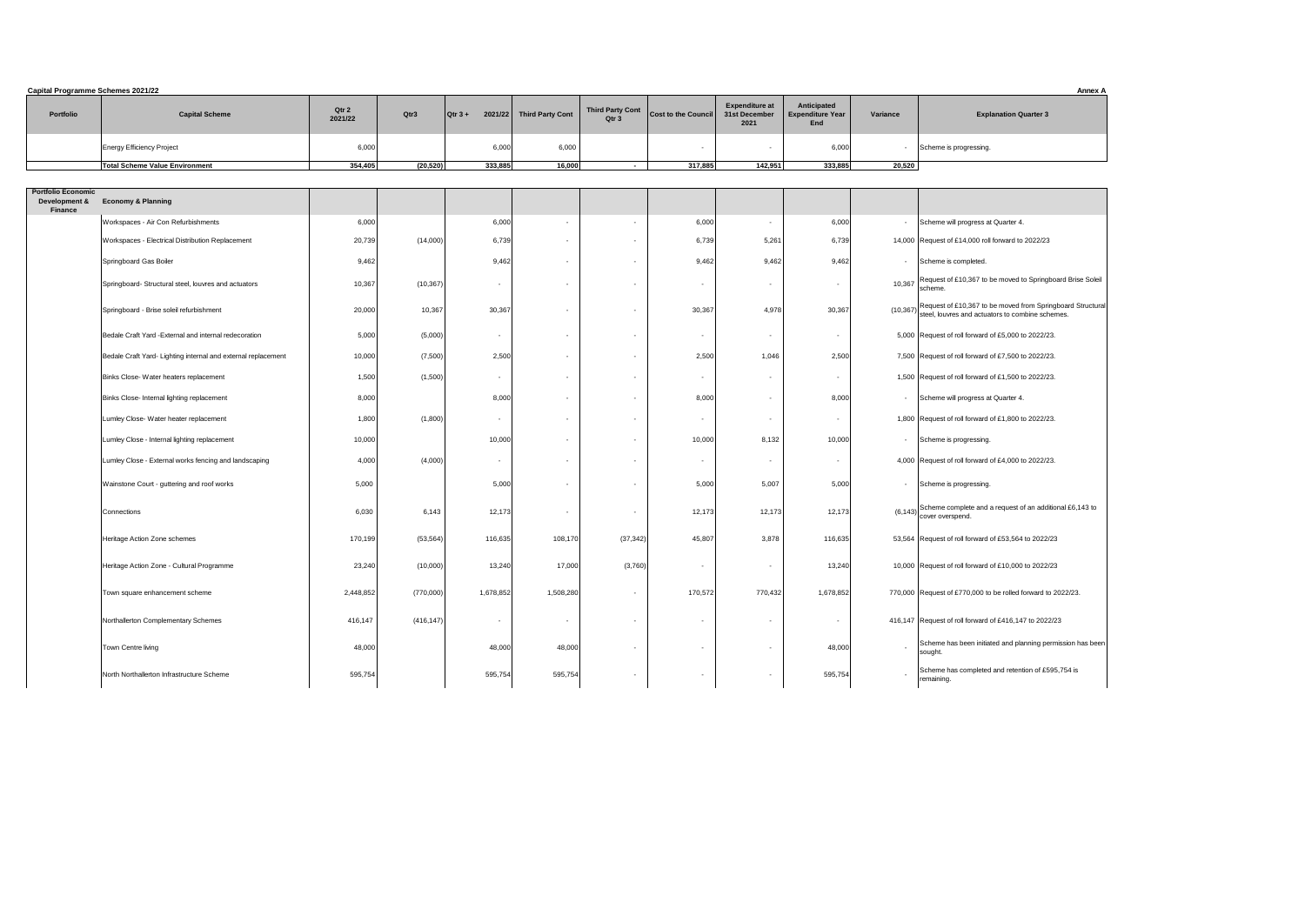| <b>Portfolio</b>                | <b>Capital Scheme</b>                                         | Qtr 2<br>2021/22 | Qtr3       | $\vert$ Qtr 3 + | 2021/22 Third Party Cont | <b>Third Party Cont</b><br>Qtr 3 | <b>Cost to the Council</b> | <b>Expenditure at</b><br>31st December<br>2021 | Anticipated<br><b>Expenditure Year</b><br>End | Variance   | <b>Explanation Quarter 3</b>                                                                                           |
|---------------------------------|---------------------------------------------------------------|------------------|------------|-----------------|--------------------------|----------------------------------|----------------------------|------------------------------------------------|-----------------------------------------------|------------|------------------------------------------------------------------------------------------------------------------------|
|                                 | <b>Energy Efficiency Project</b>                              | 6,000            |            | 6,000           | 6,000                    |                                  | $\sim$                     |                                                | 6,000                                         |            | - Scheme is progressing.                                                                                               |
|                                 | <b>Total Scheme Value Environment</b>                         | 354,405          | (20, 520)  | 333,885         | 16,000                   | $\sim$ $-$                       | 317,885                    | 142,951                                        | 333,885                                       | 20,520     |                                                                                                                        |
| <b>Portfolio Economic</b>       |                                                               |                  |            |                 |                          |                                  |                            |                                                |                                               |            |                                                                                                                        |
| Development &<br><b>Finance</b> | <b>Economy &amp; Planning</b>                                 |                  |            |                 |                          |                                  |                            |                                                |                                               |            |                                                                                                                        |
|                                 | Workspaces - Air Con Refurbishments                           | 6,000            |            | 6,000           | $\overline{\phantom{a}}$ |                                  | 6,000                      | $\sim$                                         | 6,000                                         |            | - Scheme will progress at Quarter 4.                                                                                   |
|                                 | Workspaces - Electrical Distribution Replacement              | 20,739           | (14,000)   | 6,739           | $\sim$                   | $\overline{\phantom{0}}$         | 6,73                       | 5,261                                          | 6,739                                         |            | 14,000 Request of £14,000 roll forward to 2022/23                                                                      |
|                                 | Springboard Gas Boiler                                        | 9,462            |            | 9,462           | $\sim$                   | $\overline{\phantom{0}}$         | 9,462                      | 9,462                                          | 9,462                                         |            | - Scheme is completed.                                                                                                 |
|                                 | Springboard-Structural steel, louvres and actuators           | 10,367           | (10, 367)  | $\sim$          | $\sim$                   | $\overline{\phantom{0}}$         | $\sim$                     | $\sim$                                         |                                               |            | 10,367 Request of £10,367 to be moved to Springboard Brise Soleil<br>scheme.                                           |
|                                 | Springboard - Brise soleil refurbishment                      | 20,000           | 10,367     | 30,367          | $\overline{\phantom{0}}$ | $\sim$                           | 30,367                     | 4,978                                          | 30,367                                        |            | $(10,367)$ Request of £10,367 to be moved from Springboard Structural steel, louvres and actuators to combine schemes. |
|                                 | Bedale Craft Yard - External and internal redecoration        | 5,000            | (5,000)    | $\sim$          | $\sim$                   | $\overline{\phantom{0}}$         | $\sim$                     | $\sim$                                         |                                               |            | 5,000 Request of roll forward of £5,000 to 2022/23.                                                                    |
|                                 | Bedale Craft Yard- Lighting internal and external replacement | 10,000           | (7,500)    | 2,500           | $\sim$                   |                                  | 2,500                      | 1,046                                          | 2,500                                         |            | 7,500 Request of roll forward of £7,500 to 2022/23.                                                                    |
|                                 | Binks Close-Water heaters replacement                         | 1,500            | (1,500)    |                 | $\overline{\phantom{0}}$ |                                  |                            | $\sim$                                         |                                               |            | 1,500 Request of roll forward of £1,500 to 2022/23.                                                                    |
|                                 | Binks Close- Internal lighting replacement                    | 8,000            |            | 8,000           | $\sim$                   | $\sim$                           | 8,000                      |                                                | 8,000                                         |            | - Scheme will progress at Quarter 4.                                                                                   |
|                                 | Lumley Close- Water heater replacement                        | 1,800            | (1,800)    | $\sim$          | $\overline{\phantom{0}}$ |                                  |                            |                                                |                                               |            | 1,800 Request of roll forward of £1,800 to 2022/23.                                                                    |
|                                 | Lumley Close - Internal lighting replacement                  | 10,000           |            | 10,000          | $\sim$                   | $\sim$                           | 10,000                     | 8,132                                          | 10,000                                        |            | - Scheme is progressing.                                                                                               |
|                                 | Lumley Close - External works fencing and landscaping         | 4,000            | (4,000)    | $\sim$          | $\overline{\phantom{0}}$ | $\overline{\phantom{0}}$         |                            |                                                |                                               |            | 4,000 Request of roll forward of £4,000 to 2022/23.                                                                    |
|                                 | Wainstone Court - guttering and roof works                    | 5,000            |            | 5,000           | $\sim$                   | $\sim$                           | 5,000                      | 5,007                                          | 5,000                                         |            | - Scheme is progressing.                                                                                               |
|                                 | Connections                                                   | 6,030            | 6,143      | 12,173          | $\sim$                   | $\overline{\phantom{0}}$         | 12,173                     | 12,173                                         | 12,173                                        |            | $(6,143)$ Scheme complete and a request of an additional £6,143 to<br>cover overspend.                                 |
|                                 | Heritage Action Zone schemes                                  | 170,199          | (53, 564)  | 116,635         | 108,170                  | (37, 342)                        | 45,807                     | 3,878                                          | 116,635                                       |            | 53,564 Request of roll forward of £53,564 to 2022/23                                                                   |
|                                 | Heritage Action Zone - Cultural Programme                     | 23,240           | (10,000)   | 13,240          | 17,000                   | (3,760)                          | $\sim$                     | $\blacksquare$                                 | 13,240                                        |            | 10,000 Request of roll forward of £10,000 to 2022/23                                                                   |
|                                 | Town square enhancement scheme                                | 2,448,852        | (770,000)  | 1,678,852       | 1,508,280                | $\sim$                           | 170,572                    | 770,432                                        | 1,678,852                                     |            | 770,000 Request of £770,000 to be rolled forward to 2022/23.                                                           |
|                                 | Northallerton Complementary Schemes                           | 416,147          | (416, 147) | $\sim$          | $\overline{\phantom{0}}$ | $\sim$                           |                            | $\sim$                                         |                                               |            | 416,147 Request of roll forward of £416,147 to 2022/23                                                                 |
|                                 | Town Centre living                                            | 48,000           |            | 48,000          | 48,000                   | $\sim$                           | $\sim$                     | $\sim$                                         | 48,000                                        | $\sim$ $-$ | Scheme has been initiated and planning permission has been<br>sought                                                   |
|                                 | North Northallerton Infrastructure Scheme                     | 595,754          |            | 595,754         | 595,754                  | $\sim$                           | $\sim$ 100 $\sim$          | $\sim$                                         | 595,754                                       | $\sim$ $-$ | Scheme has completed and retention of £595,754 is<br>remaining.                                                        |

| <b>Capital Programme Schemes 2021/22</b>                     |                                                               |                  |            |                              |                         |                                  |                            |                                                |                                                      |          | Annex A                                                                                                                |
|--------------------------------------------------------------|---------------------------------------------------------------|------------------|------------|------------------------------|-------------------------|----------------------------------|----------------------------|------------------------------------------------|------------------------------------------------------|----------|------------------------------------------------------------------------------------------------------------------------|
| <b>Portfolio</b>                                             | <b>Capital Scheme</b>                                         | Qtr 2<br>2021/22 | Qtr3       | $\sqrt{Q}$ tr 3 +<br>2021/22 | <b>Third Party Cont</b> | <b>Third Party Cont</b><br>Qtr 3 | <b>Cost to the Council</b> | <b>Expenditure at</b><br>31st December<br>2021 | <b>Anticipated</b><br><b>Expenditure Year</b><br>End | Variance | <b>Explanation Quarter 3</b>                                                                                           |
|                                                              | <b>Energy Efficiency Project</b>                              | 6,000            |            | 6,000                        | 6,000                   |                                  | $\overline{\phantom{a}}$   |                                                | 6,000                                                |          | Scheme is progressing.                                                                                                 |
|                                                              | <b>Total Scheme Value Environment</b>                         | 354,405          | (20, 520)  | 333,885                      | 16,000                  | $\sim$                           | 317,885                    | 142,951                                        | 333,885                                              | 20,520   |                                                                                                                        |
|                                                              |                                                               |                  |            |                              |                         |                                  |                            |                                                |                                                      |          |                                                                                                                        |
| <b>Portfolio Economic</b><br>Development &<br><b>Finance</b> | <b>Economy &amp; Planning</b>                                 |                  |            |                              |                         |                                  |                            |                                                |                                                      |          |                                                                                                                        |
|                                                              | Workspaces - Air Con Refurbishments                           | 6,000            |            | 6,000                        |                         | $\overline{\phantom{a}}$         | 6,000                      |                                                | 6,000                                                |          | Scheme will progress at Quarter 4.                                                                                     |
|                                                              | Workspaces - Electrical Distribution Replacement              | 20,739           | (14,000)   | 6,739                        |                         | $\overline{\phantom{a}}$         | 6,739                      | 5,261                                          | 6,739                                                |          | 14,000 Request of £14,000 roll forward to 2022/23                                                                      |
|                                                              | Springboard Gas Boiler                                        | 9,462            |            | 9,462                        |                         | $\sim$                           | 9,462                      | 9,462                                          | 9,462                                                |          | Scheme is completed.                                                                                                   |
|                                                              | Springboard-Structural steel, louvres and actuators           | 10,367           | (10, 367)  |                              |                         | $\overline{\phantom{a}}$         |                            | $\sim$                                         | $\overline{\phantom{a}}$                             |          | 10,367 Request of £10,367 to be moved to Springboard Brise Soleil<br>scheme.                                           |
|                                                              | Springboard - Brise soleil refurbishment                      | 20,000           | 10,367     | 30,367                       |                         | $\overline{\phantom{a}}$         | 30,367                     | 4,978                                          | 30,367                                               |          | $(10,367)$ Request of £10,367 to be moved from Springboard Structural steel, louvres and actuators to combine schemes. |
|                                                              | Bedale Craft Yard - External and internal redecoration        | 5,000            | (5,000)    |                              |                         | $\overline{\phantom{a}}$         |                            | $\sim$                                         |                                                      |          | 5,000 Request of roll forward of £5,000 to 2022/23.                                                                    |
|                                                              | Bedale Craft Yard- Lighting internal and external replacement | 10,000           | (7,500)    | 2,500                        |                         | $\sim$                           | 2,500                      | 1,046                                          | 2,500                                                |          | 7,500 Request of roll forward of £7,500 to 2022/23.                                                                    |
|                                                              | Binks Close-Water heaters replacement                         | 1,500            | (1,500)    |                              |                         | $\overline{\phantom{a}}$         |                            | $\sim$                                         |                                                      |          | 1,500 Request of roll forward of £1,500 to 2022/23.                                                                    |
|                                                              | Binks Close- Internal lighting replacement                    | 8,000            |            | 8,000                        |                         |                                  | 8,000                      | $\sim$                                         | 8,000                                                |          | Scheme will progress at Quarter 4.                                                                                     |
|                                                              | Lumley Close-Water heater replacement                         | 1,800            | (1,800)    | $\sim$                       |                         | $\overline{\phantom{a}}$         | $\sim$                     |                                                |                                                      |          | 1,800 Request of roll forward of £1,800 to 2022/23.                                                                    |
|                                                              | Lumley Close - Internal lighting replacement                  | 10,000           |            | 10,000                       |                         | $\overline{\phantom{a}}$         | 10,000                     | 8,132                                          | 10,000                                               |          | Scheme is progressing.                                                                                                 |
|                                                              | Lumley Close - External works fencing and landscaping         | 4,000            | (4,000)    |                              |                         | $\overline{\phantom{a}}$         | $\overline{\phantom{0}}$   | $\sim$                                         |                                                      |          | 4,000 Request of roll forward of £4,000 to 2022/23.                                                                    |
|                                                              | Wainstone Court - guttering and roof works                    | 5,000            |            | 5,000                        | $\sim$                  | $\overline{\phantom{a}}$         | 5,000                      | 5,007                                          | 5,000                                                |          | Scheme is progressing.                                                                                                 |
|                                                              | Connections                                                   | 6,030            | 6,143      | 12,173                       |                         | $\overline{\phantom{a}}$         | 12,173                     | 12,173                                         | 12,173                                               |          | $(6,143)$ Scheme complete and a request of an additional £6,143 to<br>cover overspend.                                 |
|                                                              | Heritage Action Zone schemes                                  | 170,199          | (53, 564)  | 116,635                      | 108,170                 | (37, 342)                        | 45,807                     | 3,878                                          | 116,635                                              |          | 53,564 Request of roll forward of £53,564 to 2022/23                                                                   |
|                                                              | Heritage Action Zone - Cultural Programme                     | 23,240           | (10,000)   | 13,240                       | 17,000                  | (3,760)                          | $\overline{\phantom{0}}$   |                                                | 13,240                                               |          | 10,000 Request of roll forward of £10,000 to 2022/23                                                                   |
|                                                              | Town square enhancement scheme                                | 2,448,852        | (770,000)  | 1,678,852                    | 1,508,280               | $\sim$                           | 170,572                    | 770,432                                        | 1,678,852                                            |          | 770,000 Request of £770,000 to be rolled forward to 2022/23.                                                           |
|                                                              | Northallerton Complementary Schemes                           | 416,147          | (416, 147) |                              |                         | $\overline{\phantom{a}}$         | $\overline{\phantom{0}}$   |                                                |                                                      |          | 416,147   Request of roll forward of £416,147 to 2022/23                                                               |
|                                                              | Town Centre living                                            | 48,000           |            | 48,000                       | 48,000                  | $\sim$                           | $\sim$                     | $\sim$                                         | 48,000                                               | $\sim$   | Scheme has been initiated and planning permission has been<br>sought.                                                  |
|                                                              | North Northallerton Infrastructure Scheme                     | 595,754          |            | 595,754                      | 595,754                 | $\overline{\phantom{0}}$         | $\sim$                     | $\sim$                                         | 595,754                                              |          | Scheme has completed and retention of £595,754 is<br>remaining.                                                        |